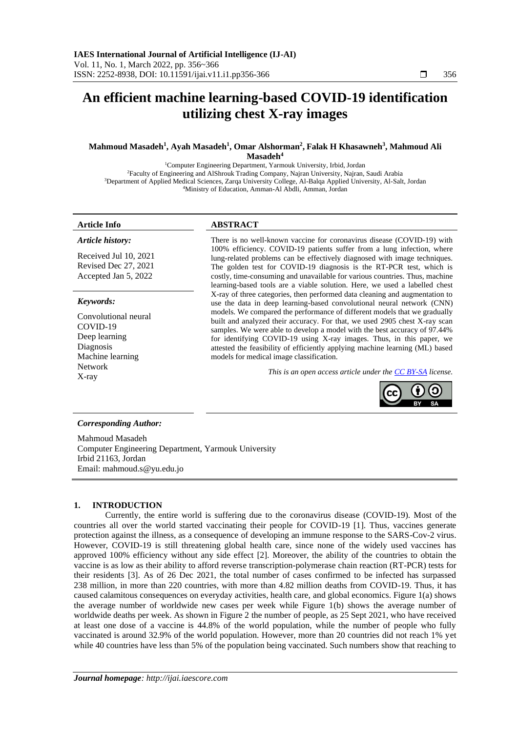# **An efficient machine learning-based COVID-19 identification utilizing chest X-ray images**

# **Mahmoud Masadeh<sup>1</sup> , Ayah Masadeh<sup>1</sup> , Omar Alshorman<sup>2</sup> , Falak H Khasawneh<sup>3</sup> , Mahmoud Ali Masadeh<sup>4</sup>**

Computer Engineering Department, Yarmouk University, Irbid, Jordan Faculty of Engineering and AlShrouk Trading Company, Najran University, Najran, Saudi Arabia Department of Applied Medical Sciences, Zarqa University College, Al-Balqa Applied University, Al-Salt, Jordan Ministry of Education, Amman-Al Abdli, Amman, Jordan

*Article history:*

Received Jul 10, 2021 Revised Dec 27, 2021 Accepted Jan 5, 2022

# *Keywords:*

Convolutional neural COVID-19 Deep learning Diagnosis Machine learning Network X-ray

# **Article Info ABSTRACT**

There is no well-known vaccine for coronavirus disease (COVID-19) with 100% efficiency. COVID-19 patients suffer from a lung infection, where lung-related problems can be effectively diagnosed with image techniques. The golden test for COVID-19 diagnosis is the RT-PCR test, which is costly, time-consuming and unavailable for various countries. Thus, machine learning-based tools are a viable solution. Here, we used a labelled chest X-ray of three categories, then performed data cleaning and augmentation to use the data in deep learning-based convolutional neural network (CNN) models. We compared the performance of different models that we gradually built and analyzed their accuracy. For that, we used 2905 chest X-ray scan samples. We were able to develop a model with the best accuracy of 97.44% for identifying COVID-19 using X-ray images. Thus, in this paper, we attested the feasibility of efficiently applying machine learning (ML) based models for medical image classification.

*This is an open access article under th[e CC BY-SA](https://creativecommons.org/licenses/by-sa/4.0/) license.*



# *Corresponding Author:*

Mahmoud Masadeh Computer Engineering Department, Yarmouk University Irbid 21163, Jordan Email: mahmoud.s@yu.edu.jo

# **1. INTRODUCTION**

Currently, the entire world is suffering due to the coronavirus disease (COVID-19). Most of the countries all over the world started vaccinating their people for COVID-19 [1]. Thus, vaccines generate protection against the illness, as a consequence of developing an immune response to the SARS-Cov-2 virus. However, COVID-19 is still threatening global health care, since none of the widely used vaccines has approved 100% efficiency without any side effect [2]. Moreover, the ability of the countries to obtain the vaccine is as low as their ability to afford reverse transcription-polymerase chain reaction (RT-PCR) tests for their residents [3]. As of 26 Dec 2021, the total number of cases confirmed to be infected has surpassed 238 million, in more than 220 countries, with more than 4.82 million deaths from COVID-19. Thus, it has caused calamitous consequences on everyday activities, health care, and global economics. Figure 1(a) shows the average number of worldwide new cases per week while Figure 1(b) shows the average number of worldwide deaths per week. As shown in Figure 2 the number of people, as 25 Sept 2021, who have received at least one dose of a vaccine is 44.8% of the world population, while the number of people who fully vaccinated is around 32.9% of the world population. However, more than 20 countries did not reach 1% yet while 40 countries have less than 5% of the population being vaccinated. Such numbers show that reaching to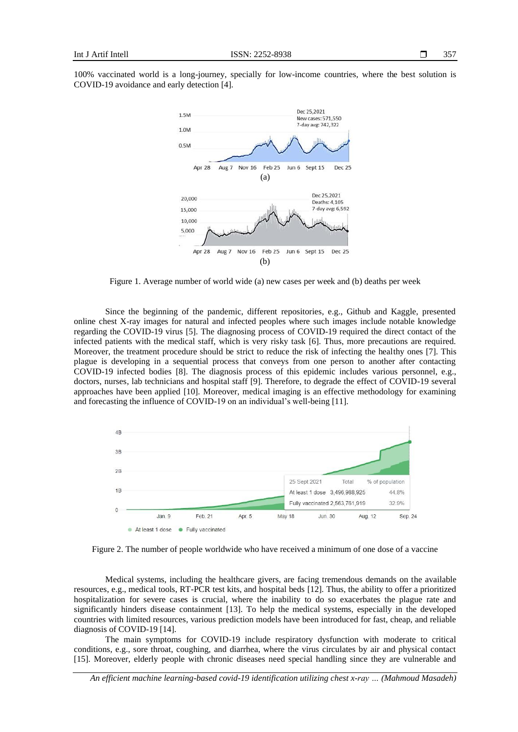

Figure 1. Average number of world wide (a) new cases per week and (b) deaths per week

Since the beginning of the pandemic, different repositories, e.g., Github and Kaggle, presented online chest X-ray images for natural and infected peoples where such images include notable knowledge regarding the COVID-19 virus [5]. The diagnosing process of COVID-19 required the direct contact of the infected patients with the medical staff, which is very risky task [6]. Thus, more precautions are required. Moreover, the treatment procedure should be strict to reduce the risk of infecting the healthy ones [7]. This plague is developing in a sequential process that conveys from one person to another after contacting COVID-19 infected bodies [8]. The diagnosis process of this epidemic includes various personnel, e.g., doctors, nurses, lab technicians and hospital staff [9]. Therefore, to degrade the effect of COVID-19 several approaches have been applied [10]. Moreover, medical imaging is an effective methodology for examining and forecasting the influence of COVID-19 on an individual's well-being [11].



Figure 2. The number of people worldwide who have received a minimum of one dose of a vaccine

Medical systems, including the healthcare givers, are facing tremendous demands on the available resources, e.g., medical tools, RT-PCR test kits, and hospital beds [12]. Thus, the ability to offer a prioritized hospitalization for severe cases is crucial, where the inability to do so exacerbates the plague rate and significantly hinders disease containment [13]. To help the medical systems, especially in the developed countries with limited resources, various prediction models have been introduced for fast, cheap, and reliable diagnosis of COVID-19 [14].

The main symptoms for COVID-19 include respiratory dysfunction with moderate to critical conditions, e.g., sore throat, coughing, and diarrhea, where the virus circulates by air and physical contact [15]. Moreover, elderly people with chronic diseases need special handling since they are vulnerable and

*An efficient machine learning-based covid-19 identification utilizing chest x-ray … (Mahmoud Masadeh)*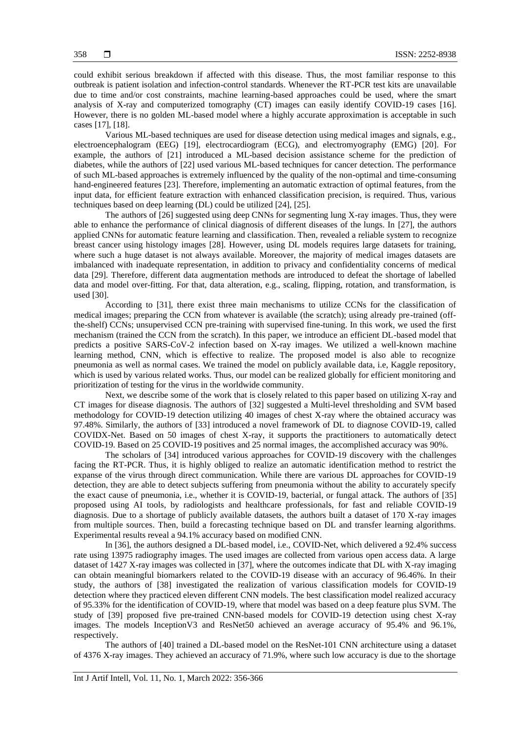could exhibit serious breakdown if affected with this disease. Thus, the most familiar response to this outbreak is patient isolation and infection-control standards. Whenever the RT-PCR test kits are unavailable due to time and/or cost constraints, machine learning-based approaches could be used, where the smart analysis of X-ray and computerized tomography (CT) images can easily identify COVID-19 cases [16]. However, there is no golden ML-based model where a highly accurate approximation is acceptable in such cases [17], [18].

Various ML-based techniques are used for disease detection using medical images and signals, e.g., electroencephalogram (EEG) [19], electrocardiogram (ECG), and electromyography (EMG) [20]. For example, the authors of [21] introduced a ML-based decision assistance scheme for the prediction of diabetes, while the authors of [22] used various ML-based techniques for cancer detection. The performance of such ML-based approaches is extremely influenced by the quality of the non-optimal and time-consuming hand-engineered features [23]. Therefore, implementing an automatic extraction of optimal features, from the input data, for efficient feature extraction with enhanced classification precision, is required. Thus, various techniques based on deep learning (DL) could be utilized [24], [25].

The authors of [26] suggested using deep CNNs for segmenting lung X-ray images. Thus, they were able to enhance the performance of clinical diagnosis of different diseases of the lungs. In [27], the authors applied CNNs for automatic feature learning and classification. Then, revealed a reliable system to recognize breast cancer using histology images [28]. However, using DL models requires large datasets for training, where such a huge dataset is not always available. Moreover, the majority of medical images datasets are imbalanced with inadequate representation, in addition to privacy and confidentiality concerns of medical data [29]. Therefore, different data augmentation methods are introduced to defeat the shortage of labelled data and model over-fitting. For that, data alteration, e.g., scaling, flipping, rotation, and transformation, is used [30].

According to [31], there exist three main mechanisms to utilize CCNs for the classification of medical images; preparing the CCN from whatever is available (the scratch); using already pre-trained (offthe-shelf) CCNs; unsupervised CCN pre-training with supervised fine-tuning. In this work, we used the first mechanism (trained the CCN from the scratch). In this paper, we introduce an efficient DL-based model that predicts a positive SARS-CoV-2 infection based on X-ray images. We utilized a well-known machine learning method, CNN, which is effective to realize. The proposed model is also able to recognize pneumonia as well as normal cases. We trained the model on publicly available data, i.e, Kaggle repository, which is used by various related works. Thus, our model can be realized globally for efficient monitoring and prioritization of testing for the virus in the worldwide community.

Next, we describe some of the work that is closely related to this paper based on utilizing X-ray and CT images for disease diagnosis. The authors of [32] suggested a Multi-level thresholding and SVM based methodology for COVID-19 detection utilizing 40 images of chest X-ray where the obtained accuracy was 97.48%. Similarly, the authors of [33] introduced a novel framework of DL to diagnose COVID-19, called COVIDX-Net. Based on 50 images of chest X-ray, it supports the practitioners to automatically detect COVID-19. Based on 25 COVID-19 positives and 25 normal images, the accomplished accuracy was 90%.

The scholars of [34] introduced various approaches for COVID-19 discovery with the challenges facing the RT-PCR. Thus, it is highly obliged to realize an automatic identification method to restrict the expanse of the virus through direct communication. While there are various DL approaches for COVID-19 detection, they are able to detect subjects suffering from pneumonia without the ability to accurately specify the exact cause of pneumonia, i.e., whether it is COVID-19, bacterial, or fungal attack. The authors of [35] proposed using AI tools, by radiologists and healthcare professionals, for fast and reliable COVID-19 diagnosis. Due to a shortage of publicly available datasets, the authors built a dataset of 170 X-ray images from multiple sources. Then, build a forecasting technique based on DL and transfer learning algorithms. Experimental results reveal a 94.1% accuracy based on modified CNN.

In [36], the authors designed a DL-based model, i.e., COVID-Net, which delivered a 92.4% success rate using 13975 radiography images. The used images are collected from various open access data. A large dataset of 1427 X-ray images was collected in [37], where the outcomes indicate that DL with X-ray imaging can obtain meaningful biomarkers related to the COVID-19 disease with an accuracy of 96.46%. In their study, the authors of [38] investigated the realization of various classification models for COVID-19 detection where they practiced eleven different CNN models. The best classification model realized accuracy of 95.33% for the identification of COVID-19, where that model was based on a deep feature plus SVM. The study of [39] proposed five pre-trained CNN-based models for COVID-19 detection using chest X-ray images. The models InceptionV3 and ResNet50 achieved an average accuracy of 95.4% and 96.1%, respectively.

The authors of [40] trained a DL-based model on the ResNet-101 CNN architecture using a dataset of 4376 X-ray images. They achieved an accuracy of 71.9%, where such low accuracy is due to the shortage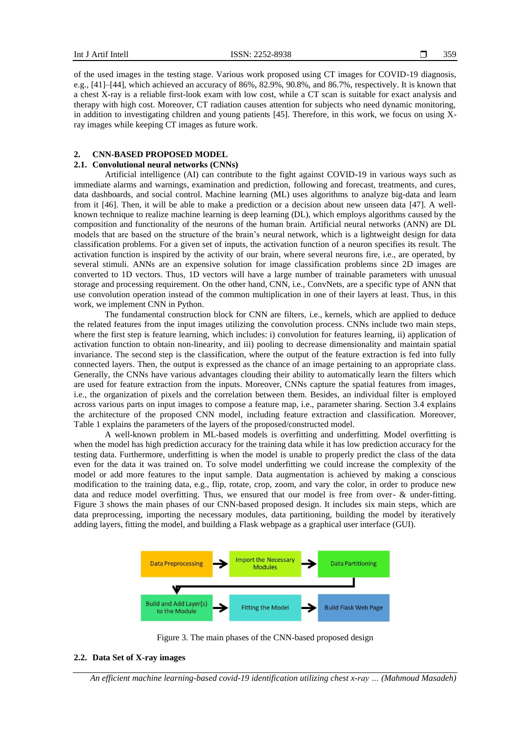of the used images in the testing stage. Various work proposed using CT images for COVID-19 diagnosis, e.g., [41]–[44], which achieved an accuracy of 86%, 82.9%, 90.8%, and 86.7%, respectively. It is known that a chest X-ray is a reliable first-look exam with low cost, while a CT scan is suitable for exact analysis and therapy with high cost. Moreover, CT radiation causes attention for subjects who need dynamic monitoring, in addition to investigating children and young patients [45]. Therefore, in this work, we focus on using Xray images while keeping CT images as future work.

# **2. CNN-BASED PROPOSED MODEL**

# **2.1. Convolutional neural networks (CNNs)**

Artificial intelligence (AI) can contribute to the fight against COVID-19 in various ways such as immediate alarms and warnings, examination and prediction, following and forecast, treatments, and cures, data dashboards, and social control. Machine learning (ML) uses algorithms to analyze big-data and learn from it [46]. Then, it will be able to make a prediction or a decision about new unseen data [47]. A wellknown technique to realize machine learning is deep learning (DL), which employs algorithms caused by the composition and functionality of the neurons of the human brain. Artificial neural networks (ANN) are DL models that are based on the structure of the brain's neural network, which is a lightweight design for data classification problems. For a given set of inputs, the activation function of a neuron specifies its result. The activation function is inspired by the activity of our brain, where several neurons fire, i.e., are operated, by several stimuli. ANNs are an expensive solution for image classification problems since 2D images are converted to 1D vectors. Thus, 1D vectors will have a large number of trainable parameters with unusual storage and processing requirement. On the other hand, CNN, i.e., ConvNets, are a specific type of ANN that use convolution operation instead of the common multiplication in one of their layers at least. Thus, in this work, we implement CNN in Python.

The fundamental construction block for CNN are filters, i.e., kernels, which are applied to deduce the related features from the input images utilizing the convolution process. CNNs include two main steps, where the first step is feature learning, which includes: i) convolution for features learning, ii) application of activation function to obtain non-linearity, and iii) pooling to decrease dimensionality and maintain spatial invariance. The second step is the classification, where the output of the feature extraction is fed into fully connected layers. Then, the output is expressed as the chance of an image pertaining to an appropriate class. Generally, the CNNs have various advantages clouding their ability to automatically learn the filters which are used for feature extraction from the inputs. Moreover, CNNs capture the spatial features from images, i.e., the organization of pixels and the correlation between them. Besides, an individual filter is employed across various parts on input images to compose a feature map, i.e., parameter sharing. Section 3.4 explains the architecture of the proposed CNN model, including feature extraction and classification. Moreover, Table 1 explains the parameters of the layers of the proposed/constructed model.

A well-known problem in ML-based models is overfitting and underfitting. Model overfitting is when the model has high prediction accuracy for the training data while it has low prediction accuracy for the testing data. Furthermore, underfitting is when the model is unable to properly predict the class of the data even for the data it was trained on. To solve model underfitting we could increase the complexity of the model or add more features to the input sample. Data augmentation is achieved by making a conscious modification to the training data, e.g., flip, rotate, crop, zoom, and vary the color, in order to produce new data and reduce model overfitting. Thus, we ensured that our model is free from over- & under-fitting. Figure 3 shows the main phases of our CNN-based proposed design. It includes six main steps, which are data preprocessing, importing the necessary modules, data partitioning, building the model by iteratively adding layers, fitting the model, and building a Flask webpage as a graphical user interface (GUI).



Figure 3. The main phases of the CNN-based proposed design

### **2.2. Data Set of X-ray images**

*An efficient machine learning-based covid-19 identification utilizing chest x-ray … (Mahmoud Masadeh)*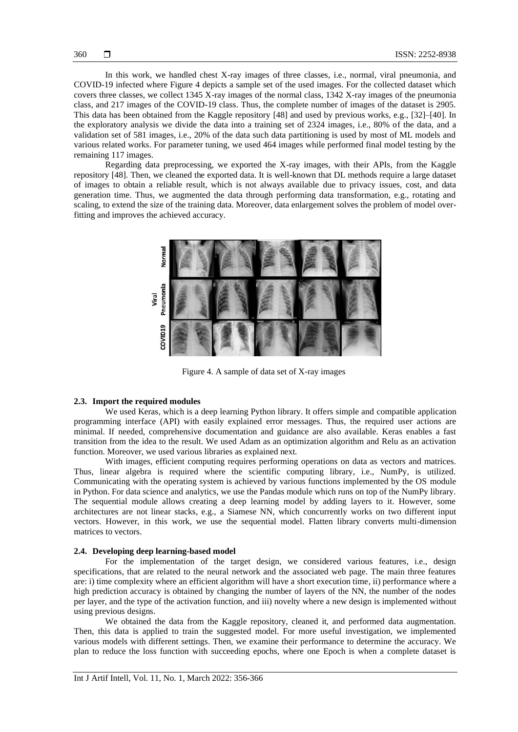In this work, we handled chest X-ray images of three classes, i.e., normal, viral pneumonia, and COVID-19 infected where Figure 4 depicts a sample set of the used images. For the collected dataset which covers three classes, we collect 1345 X-ray images of the normal class, 1342 X-ray images of the pneumonia class, and 217 images of the COVID-19 class. Thus, the complete number of images of the dataset is 2905. This data has been obtained from the Kaggle repository [48] and used by previous works, e.g., [32]–[40]. In the exploratory analysis we divide the data into a training set of 2324 images, i.e., 80% of the data, and a validation set of 581 images, i.e., 20% of the data such data partitioning is used by most of ML models and various related works. For parameter tuning, we used 464 images while performed final model testing by the remaining 117 images.

Regarding data preprocessing, we exported the X-ray images, with their APIs, from the Kaggle repository [48]. Then, we cleaned the exported data. It is well-known that DL methods require a large dataset of images to obtain a reliable result, which is not always available due to privacy issues, cost, and data generation time. Thus, we augmented the data through performing data transformation, e.g., rotating and scaling, to extend the size of the training data. Moreover, data enlargement solves the problem of model overfitting and improves the achieved accuracy.



Figure 4. A sample of data set of X-ray images

#### **2.3. Import the required modules**

We used Keras, which is a deep learning Python library. It offers simple and compatible application programming interface (API) with easily explained error messages. Thus, the required user actions are minimal. If needed, comprehensive documentation and guidance are also available. Keras enables a fast transition from the idea to the result. We used Adam as an optimization algorithm and Relu as an activation function. Moreover, we used various libraries as explained next.

With images, efficient computing requires performing operations on data as vectors and matrices. Thus, linear algebra is required where the scientific computing library, i.e., NumPy, is utilized. Communicating with the operating system is achieved by various functions implemented by the OS module in Python. For data science and analytics, we use the Pandas module which runs on top of the NumPy library. The sequential module allows creating a deep learning model by adding layers to it. However, some architectures are not linear stacks, e.g., a Siamese NN, which concurrently works on two different input vectors. However, in this work, we use the sequential model. Flatten library converts multi-dimension matrices to vectors.

#### **2.4. Developing deep learning-based model**

For the implementation of the target design, we considered various features, i.e., design specifications, that are related to the neural network and the associated web page. The main three features are: i) time complexity where an efficient algorithm will have a short execution time, ii) performance where a high prediction accuracy is obtained by changing the number of layers of the NN, the number of the nodes per layer, and the type of the activation function, and iii) novelty where a new design is implemented without using previous designs.

We obtained the data from the Kaggle repository, cleaned it, and performed data augmentation. Then, this data is applied to train the suggested model. For more useful investigation, we implemented various models with different settings. Then, we examine their performance to determine the accuracy. We plan to reduce the loss function with succeeding epochs, where one Epoch is when a complete dataset is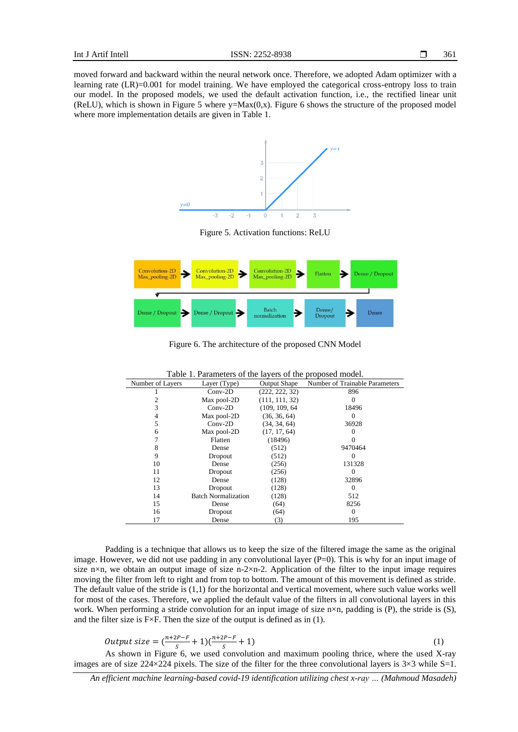moved forward and backward within the neural network once. Therefore, we adopted Adam optimizer with a learning rate (LR)=0.001 for model training. We have employed the categorical cross-entropy loss to train our model. In the proposed models, we used the default activation function, i.e., the rectified linear unit (ReLU), which is shown in Figure 5 where  $y=Max(0,x)$ . Figure 6 shows the structure of the proposed model where more implementation details are given in Table 1.



Figure 5. Activation functions: ReLU



Figure 6. The architecture of the proposed CNN Model

| rable 1. Parameters of the layers of the proposed model. |                            |                     |                                |  |  |  |  |
|----------------------------------------------------------|----------------------------|---------------------|--------------------------------|--|--|--|--|
| Number of Layers                                         | Layer (Type)               | <b>Output Shape</b> | Number of Trainable Parameters |  |  |  |  |
|                                                          | $Conv-2D$                  | (222, 222, 32)      | 896                            |  |  |  |  |
|                                                          | Max pool-2D                | (111, 111, 32)      | 0                              |  |  |  |  |
| 3                                                        | $Conv-2D$                  | (109, 109, 64)      | 18496                          |  |  |  |  |
| 4                                                        | Max pool-2D                | (36, 36, 64)        | 0                              |  |  |  |  |
| 5                                                        | $Conv-2D$                  | (34, 34, 64)        | 36928                          |  |  |  |  |
| 6                                                        | Max pool-2D                | (17, 17, 64)        |                                |  |  |  |  |
|                                                          | Flatten                    | (18496)             |                                |  |  |  |  |
| 8                                                        | Dense                      | (512)               | 9470464                        |  |  |  |  |
| 9                                                        | Dropout                    | (512)               | $\Omega$                       |  |  |  |  |
| 10                                                       | Dense                      | (256)               | 131328                         |  |  |  |  |
| 11                                                       | Dropout                    | (256)               | $\Omega$                       |  |  |  |  |
| 12                                                       | Dense                      | (128)               | 32896                          |  |  |  |  |
| 13                                                       | Dropout                    | (128)               | $\Omega$                       |  |  |  |  |
| 14                                                       | <b>Batch Normalization</b> | (128)               | 512                            |  |  |  |  |
| 15                                                       | Dense                      | (64)                | 8256                           |  |  |  |  |
| 16                                                       | Dropout                    | (64)                | $\Omega$                       |  |  |  |  |
| 17                                                       | Dense                      | (3)                 | 195                            |  |  |  |  |

Table 1. Parameters of the layers of the proposed model.

Padding is a technique that allows us to keep the size of the filtered image the same as the original image. However, we did not use padding in any convolutional layer  $(P=0)$ . This is why for an input image of size n×n, we obtain an output image of size n-2×n-2. Application of the filter to the input image requires moving the filter from left to right and from top to bottom. The amount of this movement is defined as stride. The default value of the stride is (1,1) for the horizontal and vertical movement, where such value works well for most of the cases. Therefore, we applied the default value of the filters in all convolutional layers in this work. When performing a stride convolution for an input image of size n×n, padding is (P), the stride is (S), and the filter size is F×F. Then the size of the output is defined as in (1).

Output size = 
$$
\left(\frac{n+2P-F}{S} + 1\right)\left(\frac{n+2P-F}{S} + 1\right)
$$
 (1)

As shown in Figure 6, we used convolution and maximum pooling thrice, where the used X-ray images are of size  $224 \times 224$  pixels. The size of the filter for the three convolutional layers is  $3 \times 3$  while S=1.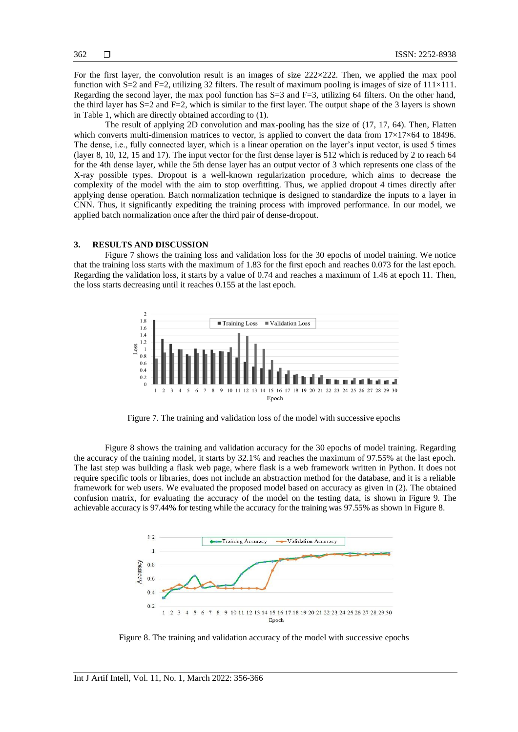For the first layer, the convolution result is an images of size  $222 \times 222$ . Then, we applied the max pool function with S=2 and F=2, utilizing 32 filters. The result of maximum pooling is images of size of  $111\times111$ . Regarding the second layer, the max pool function has  $S=3$  and  $F=3$ , utilizing 64 filters. On the other hand, the third layer has  $S=2$  and  $F=2$ , which is similar to the first layer. The output shape of the 3 layers is shown in Table 1, which are directly obtained according to (1).

The result of applying 2D convolution and max-pooling has the size of (17, 17, 64). Then, Flatten which converts multi-dimension matrices to vector, is applied to convert the data from  $17\times17\times64$  to 18496. The dense, i.e., fully connected layer, which is a linear operation on the layer's input vector, is used 5 times (layer 8, 10, 12, 15 and 17). The input vector for the first dense layer is 512 which is reduced by 2 to reach 64 for the 4th dense layer, while the 5th dense layer has an output vector of 3 which represents one class of the X-ray possible types. Dropout is a well-known regularization procedure, which aims to decrease the complexity of the model with the aim to stop overfitting. Thus, we applied dropout 4 times directly after applying dense operation. Batch normalization technique is designed to standardize the inputs to a layer in CNN. Thus, it significantly expediting the training process with improved performance. In our model, we applied batch normalization once after the third pair of dense-dropout.

# **3. RESULTS AND DISCUSSION**

Figure 7 shows the training loss and validation loss for the 30 epochs of model training. We notice that the training loss starts with the maximum of 1.83 for the first epoch and reaches 0.073 for the last epoch. Regarding the validation loss, it starts by a value of 0.74 and reaches a maximum of 1.46 at epoch 11. Then, the loss starts decreasing until it reaches 0.155 at the last epoch.



Figure 7. The training and validation loss of the model with successive epochs

Figure 8 shows the training and validation accuracy for the 30 epochs of model training. Regarding the accuracy of the training model, it starts by 32.1% and reaches the maximum of 97.55% at the last epoch. The last step was building a flask web page, where flask is a web framework written in Python. It does not require specific tools or libraries, does not include an abstraction method for the database, and it is a reliable framework for web users. We evaluated the proposed model based on accuracy as given in (2). The obtained confusion matrix, for evaluating the accuracy of the model on the testing data, is shown in Figure 9. The achievable accuracy is 97.44% for testing while the accuracy for the training was 97.55% as shown in Figure 8.



Figure 8. The training and validation accuracy of the model with successive epochs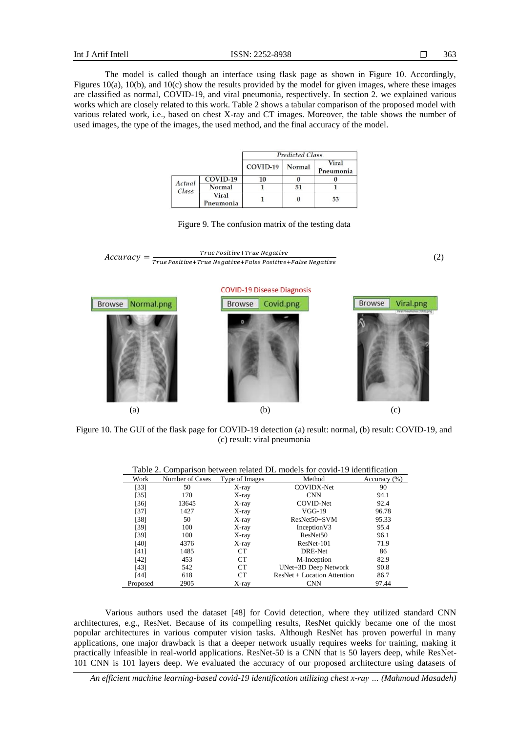The model is called though an interface using flask page as shown in Figure 10. Accordingly, Figures 10(a), 10(b), and 10(c) show the results provided by the model for given images, where these images are classified as normal, COVID-19, and viral pneumonia, respectively. In section 2. we explained various works which are closely related to this work. Table 2 shows a tabular comparison of the proposed model with various related work, i.e., based on chest X-ray and CT images. Moreover, the table shows the number of used images, the type of the images, the used method, and the final accuracy of the model.

|                 |                    | <b>Predicted Class</b> |          |                    |
|-----------------|--------------------|------------------------|----------|--------------------|
|                 |                    | COVID-19               | Normal   | Viral<br>Pneumonia |
| Actual<br>Class | COVID-19           | 10                     |          |                    |
|                 | Normal             |                        | 51       |                    |
|                 | Viral<br>Pneumonia |                        | $\bf{0}$ | 53                 |





Figure 10. The GUI of the flask page for COVID-19 detection (a) result: normal, (b) result: COVID-19, and (c) result: viral pneumonia

(a)  $(b)$  (c)

| Table 2. Combarison between related DL models for covid-19 identification |                 |                 |                               |              |  |  |
|---------------------------------------------------------------------------|-----------------|-----------------|-------------------------------|--------------|--|--|
| Work                                                                      | Number of Cases | Type of Images  | Method                        | Accuracy (%) |  |  |
| $[33]$                                                                    | 50              | X-ray           | <b>COVIDX-Net</b>             | 90           |  |  |
| [35]                                                                      | 170             | X-ray           | <b>CNN</b>                    | 94.1         |  |  |
| $[36]$                                                                    | 13645           | X-ray           | <b>COVID-Net</b>              | 92.4         |  |  |
| [37]                                                                      | 1427            | X-ray           | $VGG-19$                      | 96.78        |  |  |
| $[38]$                                                                    | 50              | X-ray           | $ResNet50+SVM$                | 95.33        |  |  |
| [39]                                                                      | 100             | X-ray           | Inception V3                  | 95.4         |  |  |
| [39]                                                                      | 100             | X-ray           | ResNet <sub>50</sub>          | 96.1         |  |  |
| [40]                                                                      | 4376            | X-ray           | ResNet-101                    | 71.9         |  |  |
| [41]                                                                      | 1485            | CT <sup>-</sup> | DRE-Net                       | 86           |  |  |
| $[42]$                                                                    | 453             | CT              | M-Inception                   | 82.9         |  |  |
| [43]                                                                      | 542             | CT              | UNet+3D Deep Network          | 90.8         |  |  |
| [44]                                                                      | 618             | CT              | $ResNet + Location$ Attention | 86.7         |  |  |
| Proposed                                                                  | 2905            | X-rav           | <b>CNN</b>                    | 97.44        |  |  |

Table 2. Comparison between related DL models for covid-19 identification

Various authors used the dataset [48] for Covid detection, where they utilized standard CNN architectures, e.g., ResNet. Because of its compelling results, ResNet quickly became one of the most popular architectures in various computer vision tasks. Although ResNet has proven powerful in many applications, one major drawback is that a deeper network usually requires weeks for training, making it practically infeasible in real-world applications. ResNet-50 is a CNN that is 50 layers deep, while ResNet-101 CNN is 101 layers deep. We evaluated the accuracy of our proposed architecture using datasets of

*An efficient machine learning-based covid-19 identification utilizing chest x-ray … (Mahmoud Masadeh)*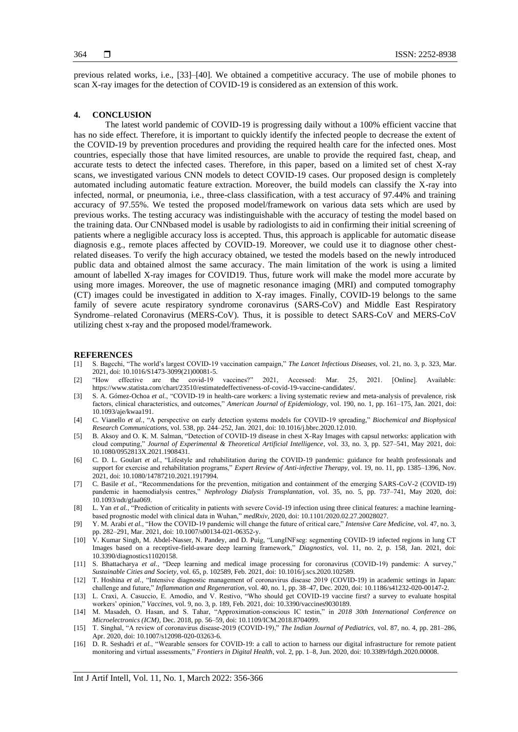previous related works, i.e., [33]–[40]. We obtained a competitive accuracy. The use of mobile phones to scan X-ray images for the detection of COVID-19 is considered as an extension of this work.

#### **4. CONCLUSION**

The latest world pandemic of COVID-19 is progressing daily without a 100% efficient vaccine that has no side effect. Therefore, it is important to quickly identify the infected people to decrease the extent of the COVID-19 by prevention procedures and providing the required health care for the infected ones. Most countries, especially those that have limited resources, are unable to provide the required fast, cheap, and accurate tests to detect the infected cases. Therefore, in this paper, based on a limited set of chest X-ray scans, we investigated various CNN models to detect COVID-19 cases. Our proposed design is completely automated including automatic feature extraction. Moreover, the build models can classify the X-ray into infected, normal, or pneumonia, i.e., three-class classification, with a test accuracy of 97.44% and training accuracy of 97.55%. We tested the proposed model/framework on various data sets which are used by previous works. The testing accuracy was indistinguishable with the accuracy of testing the model based on the training data. Our CNNbased model is usable by radiologists to aid in confirming their initial screening of patients where a negligible accuracy loss is accepted. Thus, this approach is applicable for automatic disease diagnosis e.g., remote places affected by COVID-19. Moreover, we could use it to diagnose other chestrelated diseases. To verify the high accuracy obtained, we tested the models based on the newly introduced public data and obtained almost the same accuracy. The main limitation of the work is using a limited amount of labelled X-ray images for COVID19. Thus, future work will make the model more accurate by using more images. Moreover, the use of magnetic resonance imaging (MRI) and computed tomography (CT) images could be investigated in addition to X-ray images. Finally, COVID-19 belongs to the same family of severe acute respiratory syndrome coronavirus (SARS-CoV) and Middle East Respiratory Syndrome–related Coronavirus (MERS-CoV). Thus, it is possible to detect SARS-CoV and MERS-CoV utilizing chest x-ray and the proposed model/framework.

#### **REFERENCES**

- [1] S. Bagcchi, "The world's largest COVID-19 vaccination campaign," *The Lancet Infectious Diseases*, vol. 21, no. 3, p. 323, Mar. 2021, doi: 10.1016/S1473-3099(21)00081-5.
- [2] "How effective are the covid-19 vaccines?" 2021, Accessed: Mar. 25, 2021. [Online]. Available: https://www.statista.com/chart/23510/estimatedeffectiveness-of-covid-19-vaccine-candidates/.
- [3] S. A. Gómez-Ochoa *et al.*, "COVID-19 in health-care workers: a living systematic review and meta-analysis of prevalence, risk factors, clinical characteristics, and outcomes," *American Journal of Epidemiology*, vol. 190, no. 1, pp. 161–175, Jan. 2021, doi: 10.1093/aje/kwaa191.
- [4] C. Vianello *et al.*, "A perspective on early detection systems models for COVID-19 spreading," *Biochemical and Biophysical Research Communications*, vol. 538, pp. 244–252, Jan. 2021, doi: 10.1016/j.bbrc.2020.12.010.
- [5] B. Aksoy and O. K. M. Salman, "Detection of COVID-19 disease in chest X-Ray Images with capsul networks: application with cloud computing," *Journal of Experimental & Theoretical Artificial Intelligence*, vol. 33, no. 3, pp. 527–541, May 2021, doi: 10.1080/0952813X.2021.1908431.
- [6] C. D. L. Goulart *et al.*, "Lifestyle and rehabilitation during the COVID-19 pandemic: guidance for health professionals and support for exercise and rehabilitation programs," *Expert Review of Anti-infective Therapy*, vol. 19, no. 11, pp. 1385–1396, Nov. 2021, doi: 10.1080/14787210.2021.1917994.
- [7] C. Basile *et al.*, "Recommendations for the prevention, mitigation and containment of the emerging SARS-CoV-2 (COVID-19) pandemic in haemodialysis centres," *Nephrology Dialysis Transplantation*, vol. 35, no. 5, pp. 737–741, May 2020, doi: 10.1093/ndt/gfaa069.
- [8] L. Yan *et al.*, "Prediction of criticality in patients with severe Covid-19 infection using three clinical features: a machine learningbased prognostic model with clinical data in Wuhan," *medRxiv*, 2020, doi: 10.1101/2020.02.27.20028027.
- [9] Y. M. Arabi *et al.*, "How the COVID-19 pandemic will change the future of critical care," *Intensive Care Medicine*, vol. 47, no. 3, pp. 282–291, Mar. 2021, doi: 10.1007/s00134-021-06352-y.
- [10] V. Kumar Singh, M. Abdel-Nasser, N. Pandey, and D. Puig, "LungINFseg: segmenting COVID-19 infected regions in lung CT Images based on a receptive-field-aware deep learning framework," *Diagnostics*, vol. 11, no. 2, p. 158, Jan. 2021, doi: 10.3390/diagnostics11020158.
- [11] S. Bhattacharya *et al.*, "Deep learning and medical image processing for coronavirus (COVID-19) pandemic: A survey," *Sustainable Cities and Society*, vol. 65, p. 102589, Feb. 2021, doi: 10.1016/j.scs.2020.102589.
- [12] T. Hoshina *et al.*, "Intensive diagnostic management of coronavirus disease 2019 (COVID-19) in academic settings in Japan: challenge and future," *Inflammation and Regeneration*, vol. 40, no. 1, pp. 38–47, Dec. 2020, doi: 10.1186/s41232-020-00147-2.
- [13] L. Craxì, A. Casuccio, E. Amodio, and V. Restivo, "Who should get COVID-19 vaccine first? a survey to evaluate hospital workers' opinion," *Vaccines*, vol. 9, no. 3, p. 189, Feb. 2021, doi: 10.3390/vaccines9030189.
- [14] M. Masadeh, O. Hasan, and S. Tahar, "Approximation-conscious IC testin," in *2018 30th International Conference on Microelectronics (ICM)*, Dec. 2018, pp. 56–59, doi: 10.1109/ICM.2018.8704099.
- [15] T. Singhal, "A review of coronavirus disease-2019 (COVID-19)," *The Indian Journal of Pediatrics*, vol. 87, no. 4, pp. 281–286, Apr. 2020, doi: 10.1007/s12098-020-03263-6.
- [16] D. R. Seshadri *et al.*, "Wearable sensors for COVID-19: a call to action to harness our digital infrastructure for remote patient monitoring and virtual assessments," *Frontiers in Digital Health*, vol. 2, pp. 1–8, Jun. 2020, doi: 10.3389/fdgth.2020.00008.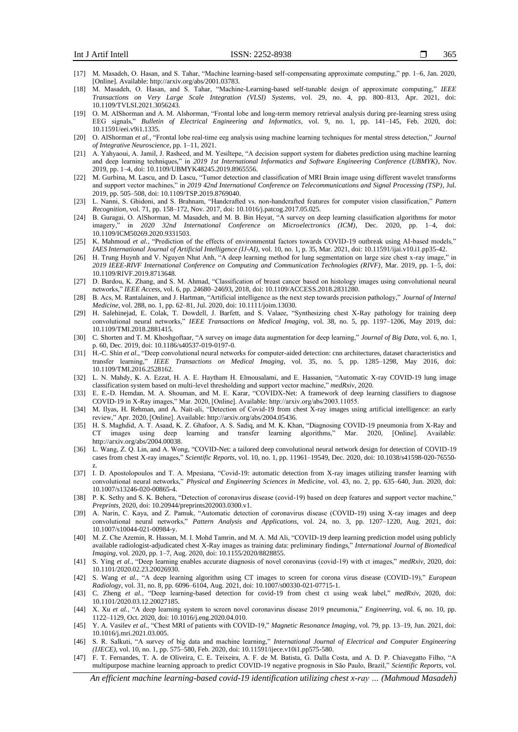- [17] M. Masadeh, O. Hasan, and S. Tahar, "Machine learning-based self-compensating approximate computing," pp. 1–6, Jan. 2020, [Online]. Available: http://arxiv.org/abs/2001.03783.
- [18] M. Masadeh, O. Hasan, and S. Tahar, "Machine-Learning-based self-tunable design of approximate computing," *IEEE Transactions on Very Large Scale Integration (VLSI) Systems*, vol. 29, no. 4, pp. 800–813, Apr. 2021, doi: 10.1109/TVLSI.2021.3056243.
- [19] O. M. AlShorman and A. M. Alshorman, "Frontal lobe and long-term memory retrieval analysis during pre-learning stress using EEG signals," *Bulletin of Electrical Engineering and Informatics*, vol. 9, no. 1, pp. 141–145, Feb. 2020, doi: 10.11591/eei.v9i1.1335.
- [20] O. AlShorman *et al.*, "Frontal lobe real-time eeg analysis using machine learning techniques for mental stress detection," *Journal of Integrative Neuroscience*, pp. 1–11, 2021.
- [21] A. Yahyaoui, A. Jamil, J. Rasheed, and M. Yesiltepe, "A decision support system for diabetes prediction using machine learning and deep learning techniques," in *2019 1st International Informatics and Software Engineering Conference (UBMYK)*, Nov. 2019, pp. 1–4, doi: 10.1109/UBMYK48245.2019.8965556.
- [22] M. Gurbina, M. Lascu, and D. Lascu, "Tumor detection and classification of MRI Brain image using different wavelet transforms and support vector machines," in *2019 42nd International Conference on Telecommunications and Signal Processing (TSP)*, Jul. 2019, pp. 505–508, doi: 10.1109/TSP.2019.8769040.
- [23] L. Nanni, S. Ghidoni, and S. Brahnam, "Handcrafted vs. non-handcrafted features for computer vision classification," *Pattern Recognition*, vol. 71, pp. 158–172, Nov. 2017, doi: 10.1016/j.patcog.2017.05.025.
- [24] B. Guragai, O. AlShorman, M. Masadeh, and M. B. Bin Heyat, "A survey on deep learning classification algorithms for motor imagery," in *2020 32nd International Conference on Microelectronics (ICM)*, Dec. 2020, pp. 1–4, doi: 10.1109/ICM50269.2020.9331503.
- [25] K. Mahmoud *et al.*, "Prediction of the effects of environmental factors towards COVID-19 outbreak using AI-based models," *IAES International Journal of Artificial Intelligence (IJ-AI)*, vol. 10, no. 1, p. 35, Mar. 2021, doi: 10.11591/ijai.v10.i1.pp35-42.
- [26] H. Trung Huynh and V. Nguyen Nhat Anh, "A deep learning method for lung segmentation on large size chest x-ray image," in *2019 IEEE-RIVF International Conference on Computing and Communication Technologies (RIVF)*, Mar. 2019, pp. 1–5, doi: 10.1109/RIVF.2019.8713648.
- [27] D. Bardou, K. Zhang, and S. M. Ahmad, "Classification of breast cancer based on histology images using convolutional neural networks," *IEEE Access*, vol. 6, pp. 24680–24693, 2018, doi: 10.1109/ACCESS.2018.2831280.
- [28] B. Acs, M. Rantalainen, and J. Hartman, "Artificial intelligence as the next step towards precision pathology," *Journal of Internal Medicine*, vol. 288, no. 1, pp. 62–81, Jul. 2020, doi: 10.1111/joim.13030.
- [29] H. Salehinejad, E. Colak, T. Dowdell, J. Barfett, and S. Valaee, "Synthesizing chest X-Ray pathology for training deep convolutional neural networks," *IEEE Transactions on Medical Imaging*, vol. 38, no. 5, pp. 1197–1206, May 2019, doi: 10.1109/TMI.2018.2881415.
- [30] C. Shorten and T. M. Khoshgoftaar, "A survey on image data augmentation for deep learning," *Journal of Big Data*, vol. 6, no. 1, p. 60, Dec. 2019, doi: 10.1186/s40537-019-0197-0.
- [31] H.-C. Shin *et al.*, "Deep convolutional neural networks for computer-aided detection: cnn architectures, dataset characteristics and transfer learning," *IEEE Transactions on Medical Imaging*, vol. 35, no. 5, pp. 1285–1298, May 2016, doi: 10.1109/TMI.2016.2528162.
- [32] L. N. Mahdy, K. A. Ezzat, H. A. E. Haytham H. Elmousalami, and E. Hassanien, "Automatic X-ray COVID-19 lung image classification system based on multi-level thresholding and support vector machine," *medRxiv*, 2020.
- [33] E. E.-D. Hemdan, M. A. Shouman, and M. E. Karar, "COVIDX-Net: A framework of deep learning classifiers to diagnose COVID-19 in X-Ray images," Mar. 2020, [Online]. Available: http://arxiv.org/abs/2003.11055.
- [34] M. Ilyas, H. Rehman, and A. Nait-ali, "Detection of Covid-19 from chest X-ray images using artificial intelligence: an early review," Apr. 2020, [Online]. Available: http://arxiv.org/abs/2004.05436.
- [35] H. S. Maghdid, A. T. Asaad, K. Z. Ghafoor, A. S. Sadiq, and M. K. Khan, "Diagnosing COVID-19 pneumonia from X-Ray and CT images using deep learning and transfer learning algorithms," Mar. 2020, [Online]. http://arxiv.org/abs/2004.00038.
- [36] L. Wang, Z. Q. Lin, and A. Wong, "COVID-Net: a tailored deep convolutional neural network design for detection of COVID-19 cases from chest X-ray images," *Scientific Reports*, vol. 10, no. 1, pp. 11961–19549, Dec. 2020, doi: 10.1038/s41598-020-76550 z.
- [37] I. D. Apostolopoulos and T. A. Mpesiana, "Covid-19: automatic detection from X-ray images utilizing transfer learning with convolutional neural networks," *Physical and Engineering Sciences in Medicine*, vol. 43, no. 2, pp. 635–640, Jun. 2020, doi: 10.1007/s13246-020-00865-4.
- [38] P. K. Sethy and S. K. Behera, "Detection of coronavirus disease (covid-19) based on deep features and support vector machine," *Preprints*, 2020, doi: 10.20944/preprints202003.0300.v1.
- [39] A. Narin, C. Kaya, and Z. Pamuk, "Automatic detection of coronavirus disease (COVID-19) using X-ray images and deep convolutional neural networks," *Pattern Analysis and Applications*, vol. 24, no. 3, pp. 1207–1220, Aug. 2021, doi: 10.1007/s10044-021-00984-y.
- [40] M. Z. Che Azemin, R. Hassan, M. I. Mohd Tamrin, and M. A. Md Ali, "COVID-19 deep learning prediction model using publicly available radiologist-adjudicated chest X-Ray images as training data: preliminary findings," *International Journal of Biomedical Imaging*, vol. 2020, pp. 1–7, Aug. 2020, doi: 10.1155/2020/8828855.
- [41] S. Ying *et al.*, "Deep learning enables accurate diagnosis of novel coronavirus (covid-19) with ct images," *medRxiv*, 2020, doi: 10.1101/2020.02.23.20026930.
- [42] S. Wang *et al.*, "A deep learning algorithm using CT images to screen for corona virus disease (COVID-19)," *European Radiology*, vol. 31, no. 8, pp. 6096–6104, Aug. 2021, doi: 10.1007/s00330-021-07715-1.
- [43] C. Zheng *et al.*, "Deep learning-based detection for covid-19 from chest ct using weak label," *medRxiv*, 2020, doi: 10.1101/2020.03.12.20027185.
- [44] X. Xu *et al.*, "A deep learning system to screen novel coronavirus disease 2019 pneumonia," *Engineering*, vol. 6, no. 10, pp. 1122–1129, Oct. 2020, doi: 10.1016/j.eng.2020.04.010.
- [45] Y. A. Vasilev *et al.*, "Chest MRI of patients with COVID-19," *Magnetic Resonance Imaging*, vol. 79, pp. 13–19, Jun. 2021, doi: 10.1016/j.mri.2021.03.005.
- [46] S. R. Salkuti, "A survey of big data and machine learning," *International Journal of Electrical and Computer Engineering (IJECE)*, vol. 10, no. 1, pp. 575–580, Feb. 2020, doi: 10.11591/ijece.v10i1.pp575-580.
- [47] F. T. Fernandes, T. A. de Oliveira, C. E. Teixeira, A. F. de M. Batista, G. Dalla Costa, and A. D. P. Chiavegatto Filho, "A multipurpose machine learning approach to predict COVID-19 negative prognosis in São Paulo, Brazil," *Scientific Reports*, vol.